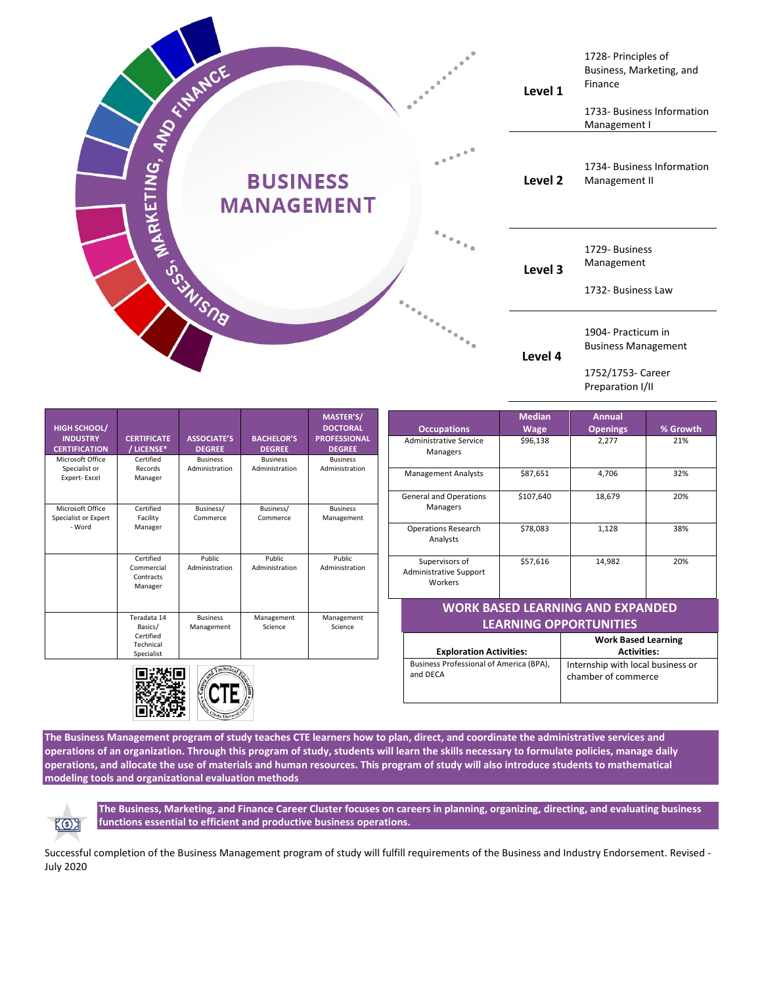

| <b>HIGH SCHOOL/</b><br><b>INDUSTRY</b><br><b>CERTIFICATION</b> | <b>CERTIFICATE</b><br>/ LICENSE*                               | <b>ASSOCIATE'S</b><br><b>DEGREE</b> | <b>BACHELOR'S</b><br><b>DEGREE</b> | MASTER'S/<br><b>DOCTORAL</b><br><b>PROFESSIONAL</b><br><b>DEGREE</b> |
|----------------------------------------------------------------|----------------------------------------------------------------|-------------------------------------|------------------------------------|----------------------------------------------------------------------|
| Microsoft Office<br>Specialist or<br>Expert-Excel              | Certified<br>Records<br>Manager                                | <b>Business</b><br>Administration   | <b>Business</b><br>Administration  | <b>Business</b><br>Administration                                    |
| Microsoft Office<br>Specialist or Expert<br>- Word             | Certified<br>Facility<br>Manager                               | Business/<br>Commerce               | Business/<br>Commerce              | <b>Business</b><br>Management                                        |
|                                                                | Certified<br>Commercial<br>Contracts<br>Manager                | <b>Public</b><br>Administration     | Public<br>Administration           | <b>Public</b><br>Administration                                      |
|                                                                | Teradata 14<br>Basics/<br>Certified<br>Technical<br>Specialist | <b>Business</b><br>Management       | Management<br>Science              | Management<br>Science                                                |

|                                                            | <b>Median</b> | <b>Annual</b>   |          |  |  |  |
|------------------------------------------------------------|---------------|-----------------|----------|--|--|--|
| <b>Occupations</b>                                         | <b>Wage</b>   | <b>Openings</b> | % Growth |  |  |  |
| <b>Administrative Service</b><br>Managers                  | \$96,138      | 2,277           | 21%      |  |  |  |
| <b>Management Analysts</b>                                 | \$87,651      | 4,706           | 32%      |  |  |  |
| General and Operations<br>Managers                         | \$107,640     | 18,679          | 20%      |  |  |  |
| <b>Operations Research</b><br>Analysts                     | \$78,083      | 1,128           | 38%      |  |  |  |
| Supervisors of<br><b>Administrative Support</b><br>Workers | \$57,616      | 14,982          | 20%      |  |  |  |
| <b>WORK BASED LEARNING AND EXPANDED</b>                    |               |                 |          |  |  |  |
| <b>LEARNING OPPORTUNITIES</b>                              |               |                 |          |  |  |  |

| <b>Exploration Activities:</b>          | <b>Work Based Learning</b><br><b>Activities:</b> |
|-----------------------------------------|--------------------------------------------------|
| Business Professional of America (BPA), | Internship with local business or                |
| and DECA                                | chamber of commerce                              |



**The Business Management program of study teaches CTE learners how to plan, direct, and coordinate the administrative services and operations of an organization. Through this program of study, students will learn the skills necessary to formulate policies, manage daily operations, and allocate the use of materials and human resources. This program of study will also introduce students to mathematical modeling tools and organizational evaluation methods**



**The Business, Marketing, and Finance Career Cluster focuses on careers in planning, organizing, directing, and evaluating business functions essential to efficient and productive business operations.**

Successful completion of the Business Management program of study will fulfill requirements of the Business and Industry Endorsement. Revised - July 2020